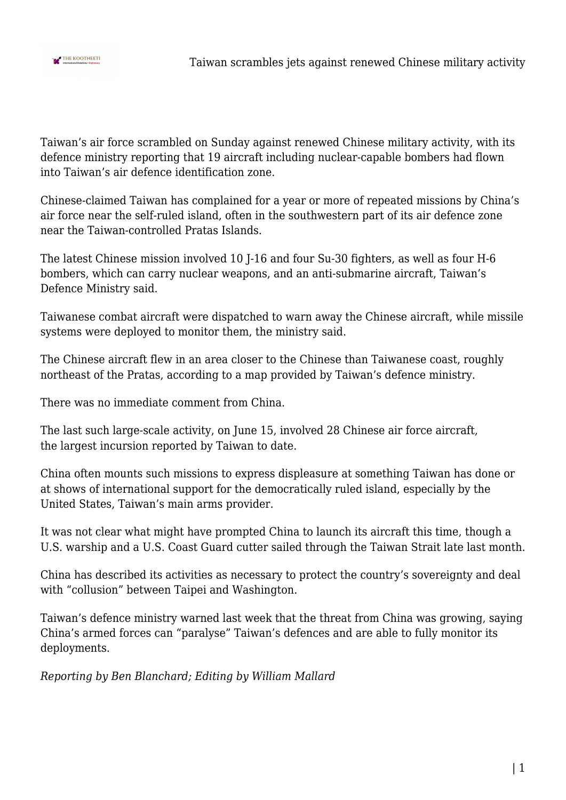

Taiwan's air force scrambled on Sunday against renewed Chinese military activity, with its defence ministry reporting that 19 aircraft including nuclear-capable bombers had flown into Taiwan's air defence identification zone.

Chinese-claimed Taiwan has complained for a year or more of repeated missions by China's air force near the self-ruled island, often in the southwestern part of its air defence zone near the Taiwan-controlled Pratas Islands.

The latest Chinese mission involved 10 J-16 and four Su-30 fighters, as well as four H-6 bombers, which can carry nuclear weapons, and an anti-submarine aircraft, Taiwan's Defence Ministry said.

Taiwanese combat aircraft were dispatched to warn away the Chinese aircraft, while missile systems were deployed to monitor them, the ministry said.

The Chinese aircraft flew in an area closer to the Chinese than Taiwanese coast, roughly northeast of the Pratas, according to a map provided by Taiwan's defence ministry.

There was no immediate comment from China.

The last such large-scale activity, on June 15, involved 28 Chinese air force aircraft, the largest incursion reported by Taiwan to date.

China often mounts such missions to express displeasure at something Taiwan has done or at shows of international support for the democratically ruled island, especially by the United States, Taiwan's main arms provider.

It was not clear what might have prompted China to launch its aircraft this time, though a U.S. warship and a U.S. Coast Guard cutter sailed through the Taiwan Strait late last month.

China has described its activities as necessary to protect the country's sovereignty and deal with "collusion" between Taipei and Washington.

Taiwan's defence ministry warned last week that the threat from China was growing, saying China's armed forces can "paralyse" Taiwan's defences and are able to fully monitor its deployments.

*Reporting by Ben Blanchard; Editing by William Mallard*